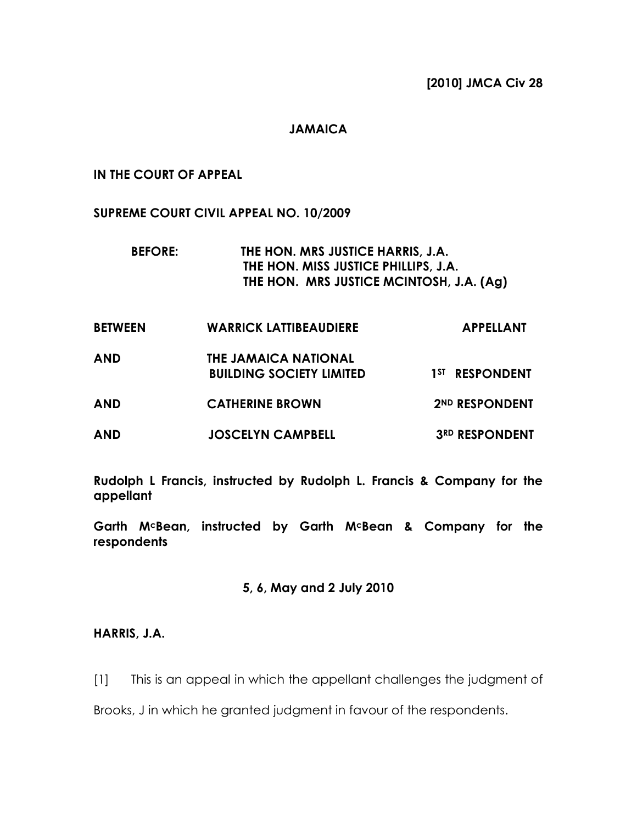[2010] JMCA Civ 28

### JAMAICA

#### IN THE COURT OF APPEAL

SUPREME COURT CIVIL APPEAL NO. 10/2009

BEFORE: THE HON. MRS JUSTICE HARRIS, J.A. THE HON. MISS JUSTICE PHILLIPS, J.A. THE HON. MRS JUSTICE MCINTOSH, J.A. (Ag)

| <b>BETWEEN</b> | <b>WARRICK LATTIBEAUDIERE</b>                           | <b>APPELLANT</b>           |
|----------------|---------------------------------------------------------|----------------------------|
| AND            | THE JAMAICA NATIONAL<br><b>BUILDING SOCIETY LIMITED</b> | 1 <sup>ST</sup> RESPONDENT |
| AND            | <b>CATHERINE BROWN</b>                                  | 2ND RESPONDENT             |
| AND            | <b>JOSCELYN CAMPBELL</b>                                | <b>3RD RESPONDENT</b>      |

Rudolph L Francis, instructed by Rudolph L. Francis & Company for the appellant

Garth McBean, instructed by Garth McBean & Company for the respondents

#### 5, 6, May and 2 July 2010

#### HARRIS, J.A.

[1] This is an appeal in which the appellant challenges the judgment of

Brooks, J in which he granted judgment in favour of the respondents.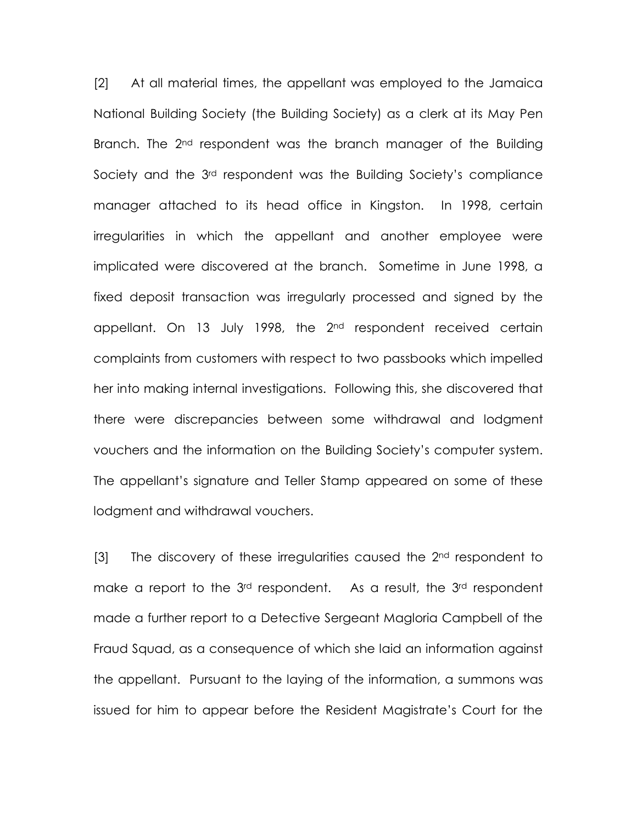[2] At all material times, the appellant was employed to the Jamaica National Building Society (the Building Society) as a clerk at its May Pen Branch. The 2<sup>nd</sup> respondent was the branch manager of the Building Society and the 3<sup>rd</sup> respondent was the Building Society's compliance manager attached to its head office in Kingston. In 1998, certain irregularities in which the appellant and another employee were implicated were discovered at the branch. Sometime in June 1998, a fixed deposit transaction was irregularly processed and signed by the appellant. On 13 July 1998, the 2<sup>nd</sup> respondent received certain complaints from customers with respect to two passbooks which impelled her into making internal investigations. Following this, she discovered that there were discrepancies between some withdrawal and lodgment vouchers and the information on the Building Society's computer system. The appellant's signature and Teller Stamp appeared on some of these lodgment and withdrawal vouchers.

[3] The discovery of these irregularities caused the 2<sup>nd</sup> respondent to make a report to the 3<sup>rd</sup> respondent. As a result, the 3<sup>rd</sup> respondent made a further report to a Detective Sergeant Magloria Campbell of the Fraud Squad, as a consequence of which she laid an information against the appellant. Pursuant to the laying of the information, a summons was issued for him to appear before the Resident Magistrate's Court for the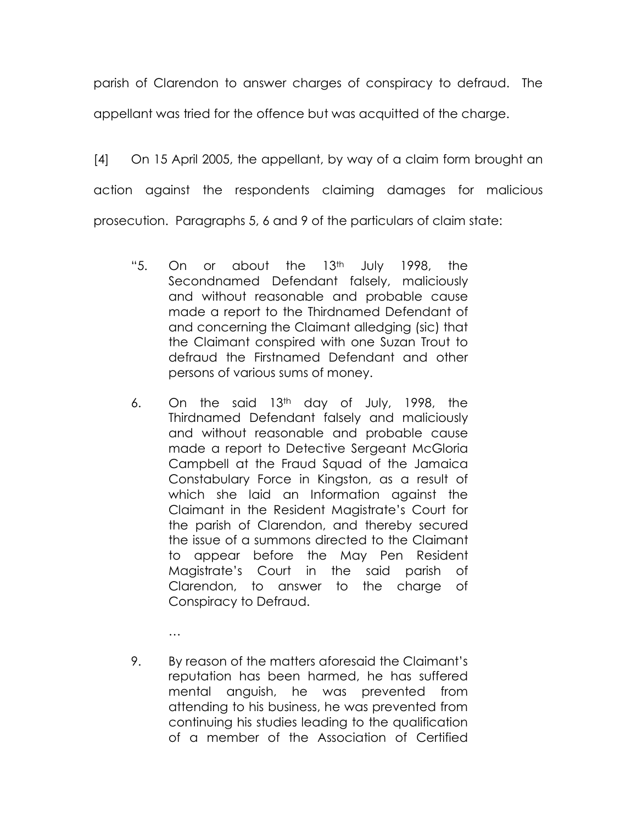parish of Clarendon to answer charges of conspiracy to defraud. The appellant was tried for the offence but was acquitted of the charge.

[4] On 15 April 2005, the appellant, by way of a claim form brought an action against the respondents claiming damages for malicious prosecution. Paragraphs 5, 6 and 9 of the particulars of claim state:

- "5. On or about the 13th July 1998, the Secondnamed Defendant falsely, maliciously and without reasonable and probable cause made a report to the Thirdnamed Defendant of and concerning the Claimant alledging (sic) that the Claimant conspired with one Suzan Trout to defraud the Firstnamed Defendant and other persons of various sums of money.
- 6. On the said  $13<sup>th</sup>$  day of July, 1998, the Thirdnamed Defendant falsely and maliciously and without reasonable and probable cause made a report to Detective Sergeant McGloria Campbell at the Fraud Squad of the Jamaica Constabulary Force in Kingston, as a result of which she laid an Information against the Claimant in the Resident Magistrate's Court for the parish of Clarendon, and thereby secured the issue of a summons directed to the Claimant to appear before the May Pen Resident Magistrate's Court in the said parish of Clarendon, to answer to the charge of Conspiracy to Defraud.
- 9. By reason of the matters aforesaid the Claimant's reputation has been harmed, he has suffered mental anguish, he was prevented from attending to his business, he was prevented from continuing his studies leading to the qualification of a member of the Association of Certified

…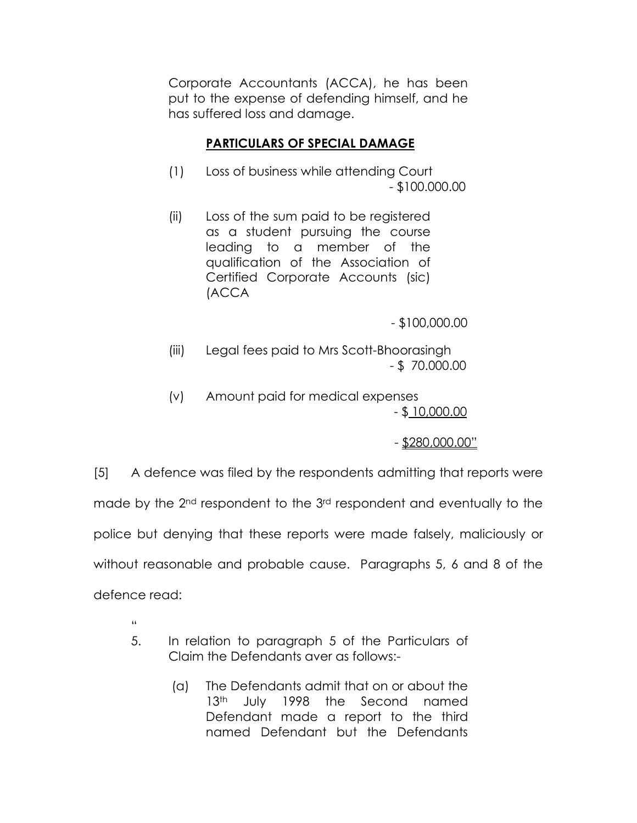Corporate Accountants (ACCA), he has been put to the expense of defending himself, and he has suffered loss and damage.

# PARTICULARS OF SPECIAL DAMAGE

- (1) Loss of business while attending Court - \$100.000.00
- (ii) Loss of the sum paid to be registered as a student pursuing the course leading to a member of the qualification of the Association of Certified Corporate Accounts (sic) (ACCA

- \$100,000.00

- (iii) Legal fees paid to Mrs Scott-Bhoorasingh - \$ 70.000.00
- (v) Amount paid for medical expenses - \$ 10,000.00

- \$280,000.00"

[5] A defence was filed by the respondents admitting that reports were

made by the 2<sup>nd</sup> respondent to the 3<sup>rd</sup> respondent and eventually to the

police but denying that these reports were made falsely, maliciously or

without reasonable and probable cause. Paragraphs 5, 6 and 8 of the

defence read:

- "
- 5. In relation to paragraph 5 of the Particulars of Claim the Defendants aver as follows:-
	- (a) The Defendants admit that on or about the 13<sup>th</sup> July 1998 the Second named Defendant made a report to the third named Defendant but the Defendants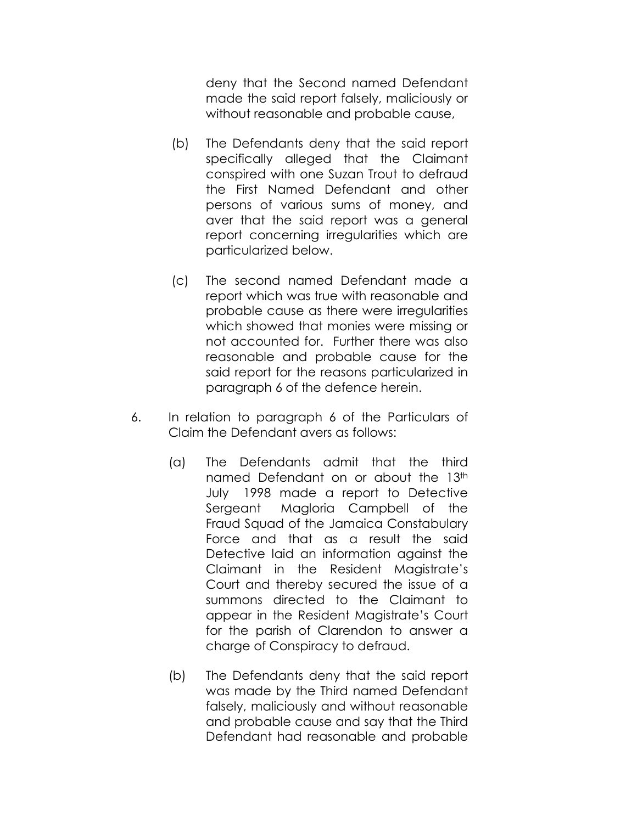deny that the Second named Defendant made the said report falsely, maliciously or without reasonable and probable cause,

- (b) The Defendants deny that the said report specifically alleged that the Claimant conspired with one Suzan Trout to defraud the First Named Defendant and other persons of various sums of money, and aver that the said report was a general report concerning irregularities which are particularized below.
- (c) The second named Defendant made a report which was true with reasonable and probable cause as there were irregularities which showed that monies were missing or not accounted for. Further there was also reasonable and probable cause for the said report for the reasons particularized in paragraph 6 of the defence herein.
- 6. In relation to paragraph 6 of the Particulars of Claim the Defendant avers as follows:
	- (a) The Defendants admit that the third named Defendant on or about the 13th July 1998 made a report to Detective Sergeant Magloria Campbell of the Fraud Squad of the Jamaica Constabulary Force and that as a result the said Detective laid an information against the Claimant in the Resident Magistrate's Court and thereby secured the issue of a summons directed to the Claimant to appear in the Resident Magistrate's Court for the parish of Clarendon to answer a charge of Conspiracy to defraud.
	- (b) The Defendants deny that the said report was made by the Third named Defendant falsely, maliciously and without reasonable and probable cause and say that the Third Defendant had reasonable and probable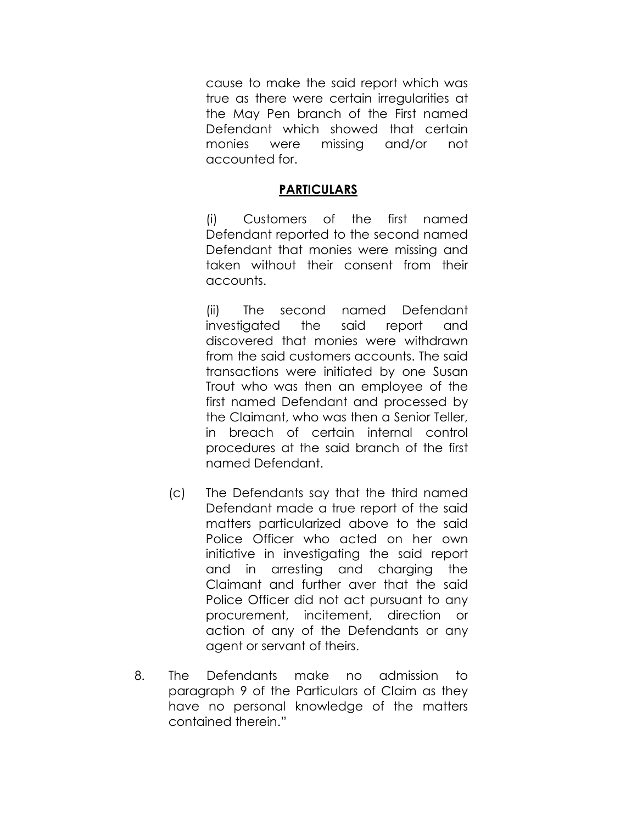cause to make the said report which was true as there were certain irregularities at the May Pen branch of the First named Defendant which showed that certain monies were missing and/or not accounted for.

## **PARTICULARS**

(i) Customers of the first named Defendant reported to the second named Defendant that monies were missing and taken without their consent from their accounts.

(ii) The second named Defendant investigated the said report and discovered that monies were withdrawn from the said customers accounts. The said transactions were initiated by one Susan Trout who was then an employee of the first named Defendant and processed by the Claimant, who was then a Senior Teller, in breach of certain internal control procedures at the said branch of the first named Defendant.

- (c) The Defendants say that the third named Defendant made a true report of the said matters particularized above to the said Police Officer who acted on her own initiative in investigating the said report and in arresting and charging the Claimant and further aver that the said Police Officer did not act pursuant to any procurement, incitement, direction or action of any of the Defendants or any agent or servant of theirs.
- 8. The Defendants make no admission to paragraph 9 of the Particulars of Claim as they have no personal knowledge of the matters contained therein."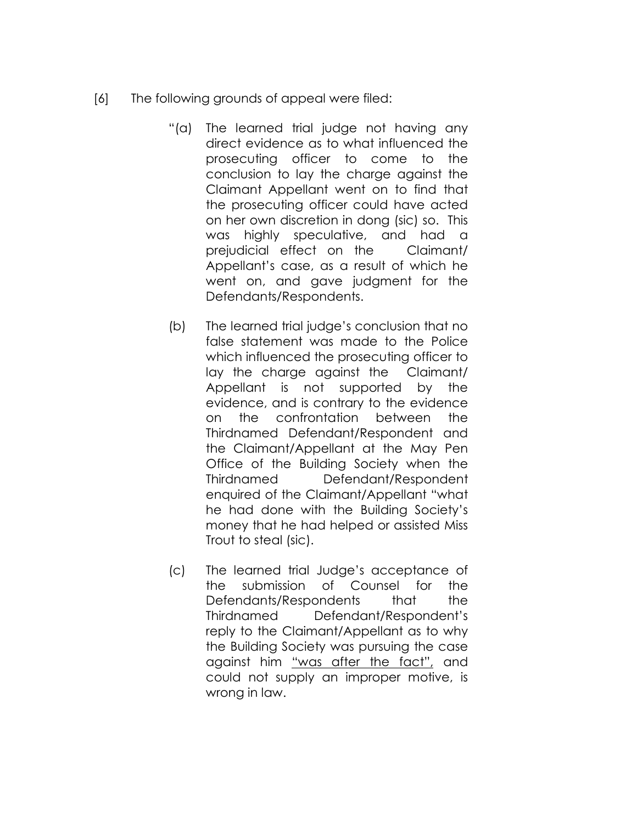- [6] The following grounds of appeal were filed:
	- "(a) The learned trial judge not having any direct evidence as to what influenced the prosecuting officer to come to the conclusion to lay the charge against the Claimant Appellant went on to find that the prosecuting officer could have acted on her own discretion in dong (sic) so. This was highly speculative, and had a prejudicial effect on the Claimant/ Appellant's case, as a result of which he went on, and gave judgment for the Defendants/Respondents.
	- (b) The learned trial judge's conclusion that no false statement was made to the Police which influenced the prosecuting officer to lay the charge against the Claimant/ Appellant is not supported by the evidence, and is contrary to the evidence on the confrontation between the Thirdnamed Defendant/Respondent and the Claimant/Appellant at the May Pen Office of the Building Society when the Thirdnamed Defendant/Respondent enquired of the Claimant/Appellant "what he had done with the Building Society's money that he had helped or assisted Miss Trout to steal (sic).
	- (c) The learned trial Judge's acceptance of the submission of Counsel for the Defendants/Respondents that the Thirdnamed Defendant/Respondent's reply to the Claimant/Appellant as to why the Building Society was pursuing the case against him "was after the fact", and could not supply an improper motive, is wrong in law.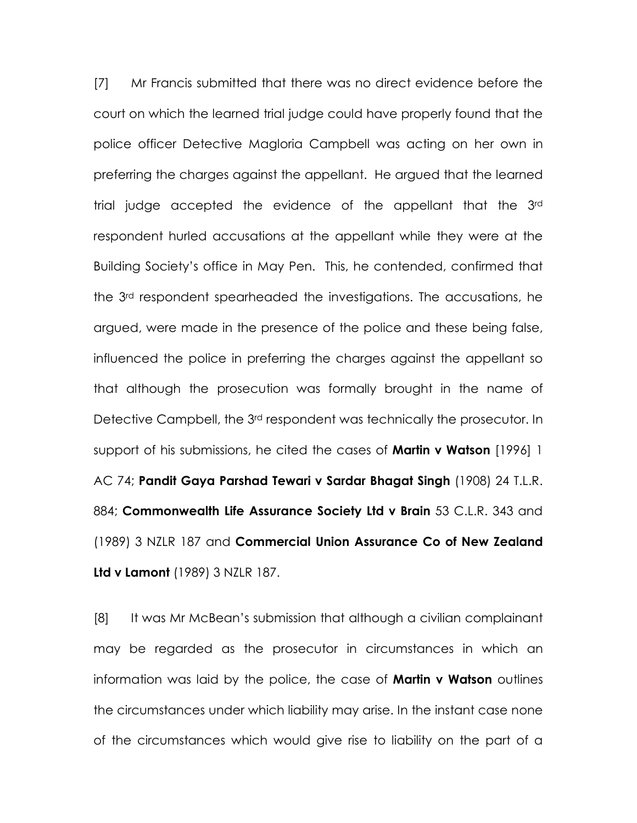[7] Mr Francis submitted that there was no direct evidence before the court on which the learned trial judge could have properly found that the police officer Detective Magloria Campbell was acting on her own in preferring the charges against the appellant. He argued that the learned trial judge accepted the evidence of the appellant that the 3rd respondent hurled accusations at the appellant while they were at the Building Society's office in May Pen. This, he contended, confirmed that the 3rd respondent spearheaded the investigations. The accusations, he argued, were made in the presence of the police and these being false, influenced the police in preferring the charges against the appellant so that although the prosecution was formally brought in the name of Detective Campbell, the 3rd respondent was technically the prosecutor. In support of his submissions, he cited the cases of **Martin v Watson** [1996] 1 AC 74; Pandit Gaya Parshad Tewari v Sardar Bhagat Singh (1908) 24 T.L.R. 884; Commonwealth Life Assurance Society Ltd v Brain 53 C.L.R. 343 and (1989) 3 NZLR 187 and Commercial Union Assurance Co of New Zealand Ltd v Lamont (1989) 3 NZLR 187.

[8] It was Mr McBean's submission that although a civilian complainant may be regarded as the prosecutor in circumstances in which an information was laid by the police, the case of **Martin v Watson** outlines the circumstances under which liability may arise. In the instant case none of the circumstances which would give rise to liability on the part of a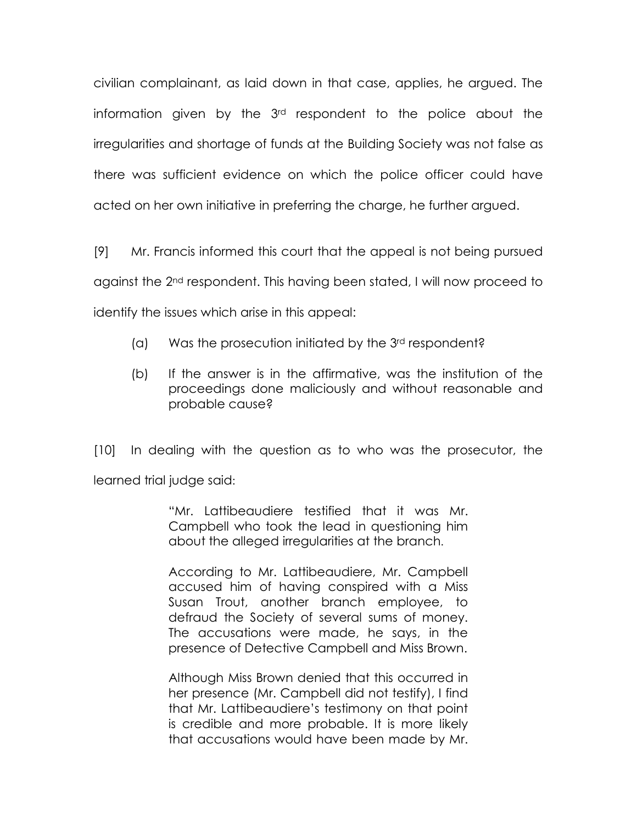civilian complainant, as laid down in that case, applies, he argued. The information given by the 3rd respondent to the police about the irregularities and shortage of funds at the Building Society was not false as there was sufficient evidence on which the police officer could have acted on her own initiative in preferring the charge, he further argued.

[9] Mr. Francis informed this court that the appeal is not being pursued against the 2nd respondent. This having been stated, I will now proceed to identify the issues which arise in this appeal:

- (a) Was the prosecution initiated by the 3rd respondent?
- (b) If the answer is in the affirmative, was the institution of the proceedings done maliciously and without reasonable and probable cause?

[10] In dealing with the question as to who was the prosecutor, the learned trial judge said:

> "Mr. Lattibeaudiere testified that it was Mr. Campbell who took the lead in questioning him about the alleged irregularities at the branch.

> According to Mr. Lattibeaudiere, Mr. Campbell accused him of having conspired with a Miss Susan Trout, another branch employee, to defraud the Society of several sums of money. The accusations were made, he says, in the presence of Detective Campbell and Miss Brown.

> Although Miss Brown denied that this occurred in her presence (Mr. Campbell did not testify), I find that Mr. Lattibeaudiere's testimony on that point is credible and more probable. It is more likely that accusations would have been made by Mr.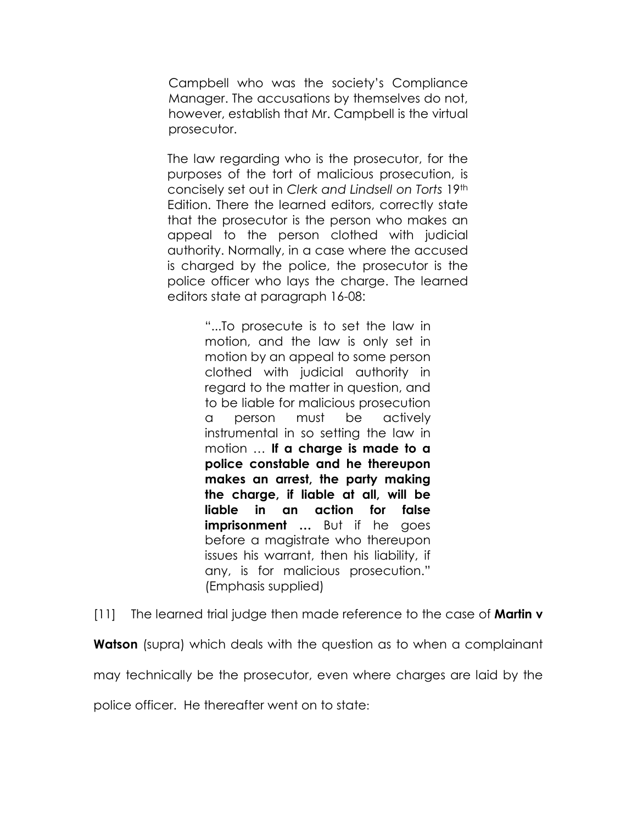Campbell who was the society's Compliance Manager. The accusations by themselves do not, however, establish that Mr. Campbell is the virtual prosecutor.

The law regarding who is the prosecutor, for the purposes of the tort of malicious prosecution, is concisely set out in Clerk and Lindsell on Torts 19th Edition. There the learned editors, correctly state that the prosecutor is the person who makes an appeal to the person clothed with judicial authority. Normally, in a case where the accused is charged by the police, the prosecutor is the police officer who lays the charge. The learned editors state at paragraph 16-08:

> "...To prosecute is to set the law in motion, and the law is only set in motion by an appeal to some person clothed with judicial authority in regard to the matter in question, and to be liable for malicious prosecution a person must be actively instrumental in so setting the law in motion ... If a charge is made to a police constable and he thereupon makes an arrest, the party making the charge, if liable at all, will be liable in an action for false imprisonment … But if he goes before a magistrate who thereupon issues his warrant, then his liability, if any, is for malicious prosecution." (Emphasis supplied)

[11] The learned trial judge then made reference to the case of **Martin v** 

**Watson** (supra) which deals with the question as to when a complainant

may technically be the prosecutor, even where charges are laid by the

police officer. He thereafter went on to state: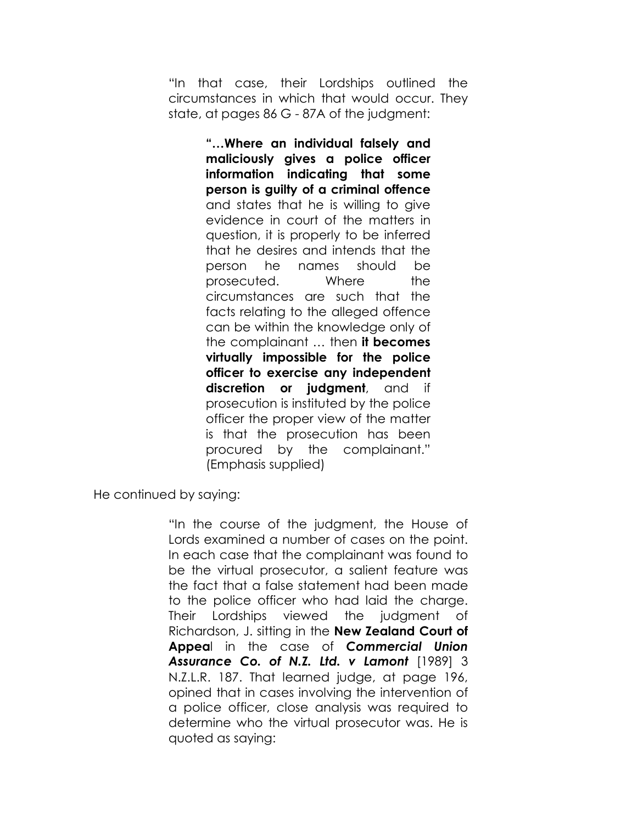"In that case, their Lordships outlined the circumstances in which that would occur. They state, at pages 86 G - 87A of the judgment:

> "…Where an individual falsely and maliciously gives a police officer information indicating that some person is guilty of a criminal offence and states that he is willing to give evidence in court of the matters in question, it is properly to be inferred that he desires and intends that the person he names should be prosecuted. Where the circumstances are such that the facts relating to the alleged offence can be within the knowledge only of the complainant ... then it becomes virtually impossible for the police officer to exercise any independent discretion or judgment, and if prosecution is instituted by the police officer the proper view of the matter is that the prosecution has been procured by the complainant." (Emphasis supplied)

He continued by saying:

"In the course of the judgment, the House of Lords examined a number of cases on the point. In each case that the complainant was found to be the virtual prosecutor, a salient feature was the fact that a false statement had been made to the police officer who had laid the charge. Their Lordships viewed the judgment of Richardson, J. sitting in the New Zealand Court of Appeal in the case of Commercial Union Assurance Co. of N.Z. Ltd. v Lamont [1989] 3 N.Z.L.R. 187. That learned judge, at page 196, opined that in cases involving the intervention of a police officer, close analysis was required to determine who the virtual prosecutor was. He is quoted as saying: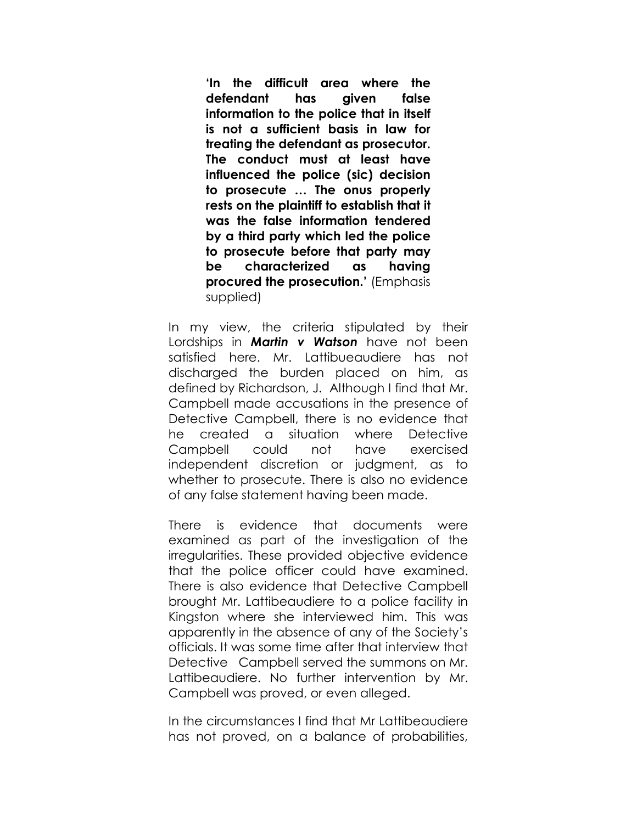'In the difficult area where the defendant has given false information to the police that in itself is not a sufficient basis in law for treating the defendant as prosecutor. The conduct must at least have influenced the police (sic) decision to prosecute … The onus properly rests on the plaintiff to establish that it was the false information tendered by a third party which led the police to prosecute before that party may be characterized as having procured the prosecution.' (Emphasis supplied)

In my view, the criteria stipulated by their Lordships in **Martin v Watson** have not been satisfied here. Mr. Lattibueaudiere has not discharged the burden placed on him, as defined by Richardson, J. Although I find that Mr. Campbell made accusations in the presence of Detective Campbell, there is no evidence that he created a situation where Detective Campbell could not have exercised independent discretion or judgment, as to whether to prosecute. There is also no evidence of any false statement having been made.

There is evidence that documents were examined as part of the investigation of the irregularities. These provided objective evidence that the police officer could have examined. There is also evidence that Detective Campbell brought Mr. Lattibeaudiere to a police facility in Kingston where she interviewed him. This was apparently in the absence of any of the Society's officials. It was some time after that interview that Detective Campbell served the summons on Mr. Lattibeaudiere. No further intervention by Mr. Campbell was proved, or even alleged.

In the circumstances I find that Mr Lattibeaudiere has not proved, on a balance of probabilities,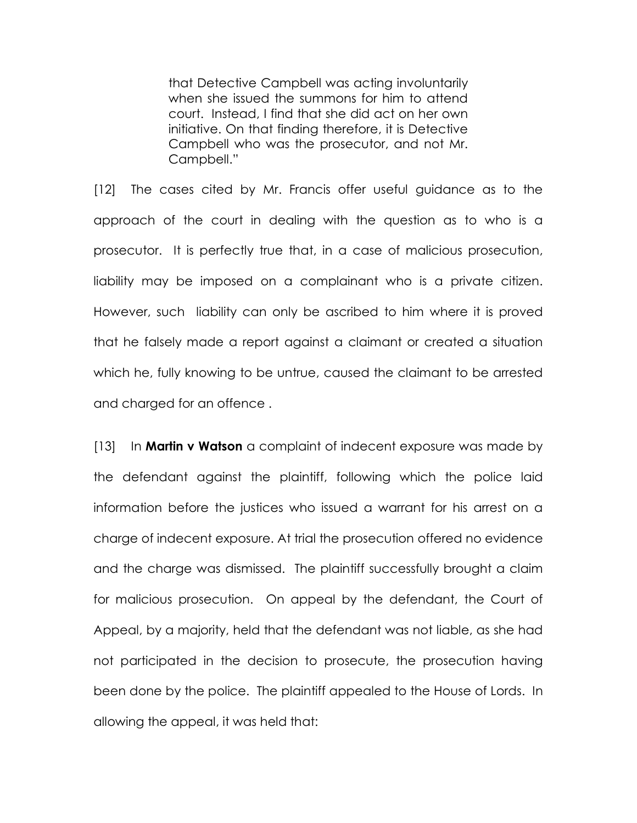that Detective Campbell was acting involuntarily when she issued the summons for him to attend court. Instead, I find that she did act on her own initiative. On that finding therefore, it is Detective Campbell who was the prosecutor, and not Mr. Campbell."

[12] The cases cited by Mr. Francis offer useful guidance as to the approach of the court in dealing with the question as to who is a prosecutor. It is perfectly true that, in a case of malicious prosecution, liability may be imposed on a complainant who is a private citizen. However, such liability can only be ascribed to him where it is proved that he falsely made a report against a claimant or created a situation which he, fully knowing to be untrue, caused the claimant to be arrested and charged for an offence .

 $[13]$  In **Martin v Watson** a complaint of indecent exposure was made by the defendant against the plaintiff, following which the police laid information before the justices who issued a warrant for his arrest on a charge of indecent exposure. At trial the prosecution offered no evidence and the charge was dismissed. The plaintiff successfully brought a claim for malicious prosecution. On appeal by the defendant, the Court of Appeal, by a majority, held that the defendant was not liable, as she had not participated in the decision to prosecute, the prosecution having been done by the police. The plaintiff appealed to the House of Lords. In allowing the appeal, it was held that: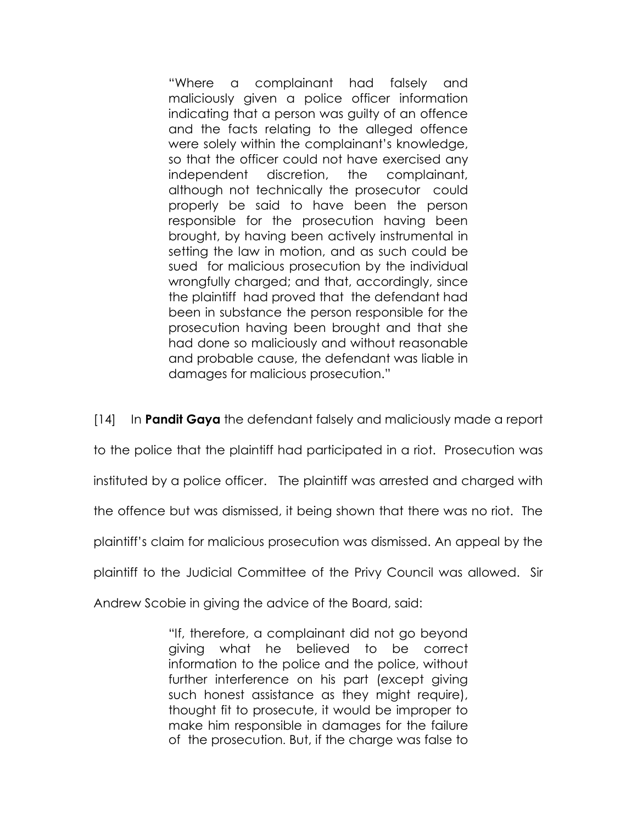"Where a complainant had falsely and maliciously given a police officer information indicating that a person was guilty of an offence and the facts relating to the alleged offence were solely within the complainant's knowledge, so that the officer could not have exercised any independent discretion, the complainant, although not technically the prosecutor could properly be said to have been the person responsible for the prosecution having been brought, by having been actively instrumental in setting the law in motion, and as such could be sued for malicious prosecution by the individual wrongfully charged; and that, accordingly, since the plaintiff had proved that the defendant had been in substance the person responsible for the prosecution having been brought and that she had done so maliciously and without reasonable and probable cause, the defendant was liable in damages for malicious prosecution."

[14] In **Pandit Gaya** the defendant falsely and maliciously made a report

to the police that the plaintiff had participated in a riot. Prosecution was

instituted by a police officer. The plaintiff was arrested and charged with

the offence but was dismissed, it being shown that there was no riot. The

plaintiff's claim for malicious prosecution was dismissed. An appeal by the

plaintiff to the Judicial Committee of the Privy Council was allowed. Sir

Andrew Scobie in giving the advice of the Board, said:

"If, therefore, a complainant did not go beyond giving what he believed to be correct information to the police and the police, without further interference on his part (except giving such honest assistance as they might require), thought fit to prosecute, it would be improper to make him responsible in damages for the failure of the prosecution. But, if the charge was false to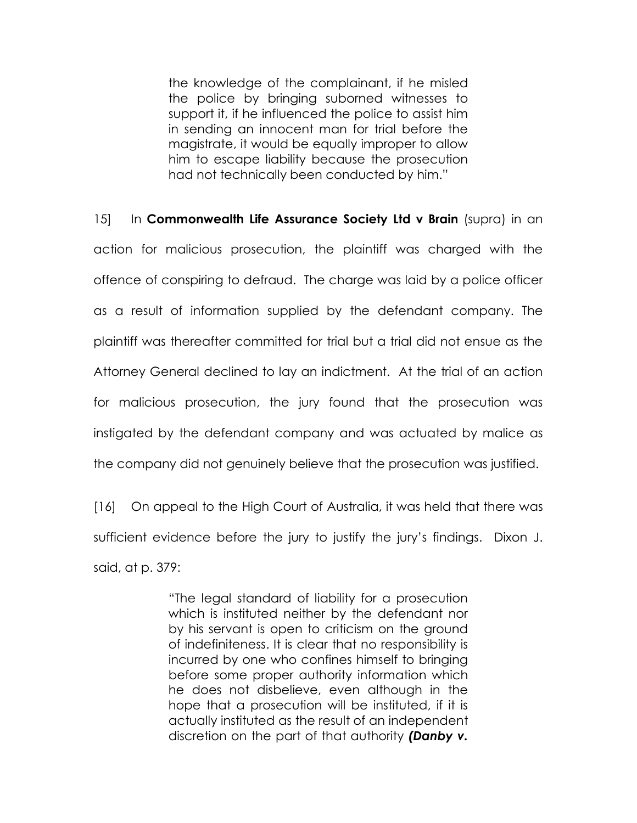the knowledge of the complainant, if he misled the police by bringing suborned witnesses to support it, if he influenced the police to assist him in sending an innocent man for trial before the magistrate, it would be equally improper to allow him to escape liability because the prosecution had not technically been conducted by him."

 $15$  In Commonwealth Life Assurance Society Ltd v Brain (supra) in an action for malicious prosecution, the plaintiff was charged with the offence of conspiring to defraud. The charge was laid by a police officer as a result of information supplied by the defendant company. The plaintiff was thereafter committed for trial but a trial did not ensue as the Attorney General declined to lay an indictment. At the trial of an action for malicious prosecution, the jury found that the prosecution was instigated by the defendant company and was actuated by malice as the company did not genuinely believe that the prosecution was justified.

[16] On appeal to the High Court of Australia, it was held that there was sufficient evidence before the jury to justify the jury's findings. Dixon J. said, at p. 379:

> "The legal standard of liability for a prosecution which is instituted neither by the defendant nor by his servant is open to criticism on the ground of indefiniteness. It is clear that no responsibility is incurred by one who confines himself to bringing before some proper authority information which he does not disbelieve, even although in the hope that a prosecution will be instituted, if it is actually instituted as the result of an independent discretion on the part of that authority (Danby v.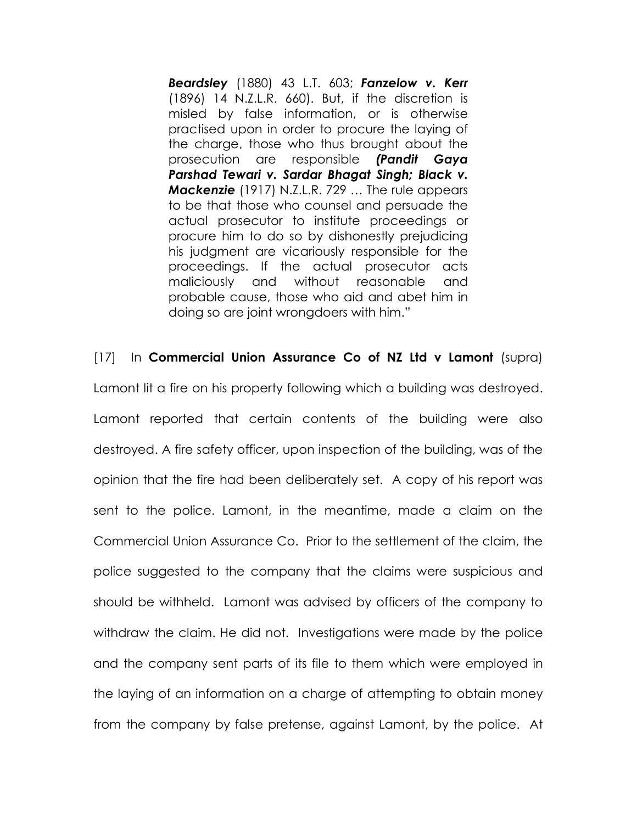Beardsley (1880) 43 L.T. 603; Fanzelow v. Kerr (1896) 14 N.Z.L.R. 660). But, if the discretion is misled by false information, or is otherwise practised upon in order to procure the laying of the charge, those who thus brought about the prosecution are responsible (Pandit Gaya Parshad Tewari v. Sardar Bhagat Singh; Black v. Mackenzie (1917) N.Z.L.R. 729 … The rule appears to be that those who counsel and persuade the actual prosecutor to institute proceedings or procure him to do so by dishonestly prejudicing his judgment are vicariously responsible for the proceedings. If the actual prosecutor acts maliciously and without reasonable and probable cause, those who aid and abet him in doing so are joint wrongdoers with him."

[17] In Commercial Union Assurance Co of NZ Ltd v Lamont (supra) Lamont lit a fire on his property following which a building was destroyed. Lamont reported that certain contents of the building were also destroyed. A fire safety officer, upon inspection of the building, was of the opinion that the fire had been deliberately set. A copy of his report was sent to the police. Lamont, in the meantime, made a claim on the Commercial Union Assurance Co. Prior to the settlement of the claim, the police suggested to the company that the claims were suspicious and should be withheld. Lamont was advised by officers of the company to withdraw the claim. He did not. Investigations were made by the police and the company sent parts of its file to them which were employed in the laying of an information on a charge of attempting to obtain money from the company by false pretense, against Lamont, by the police. At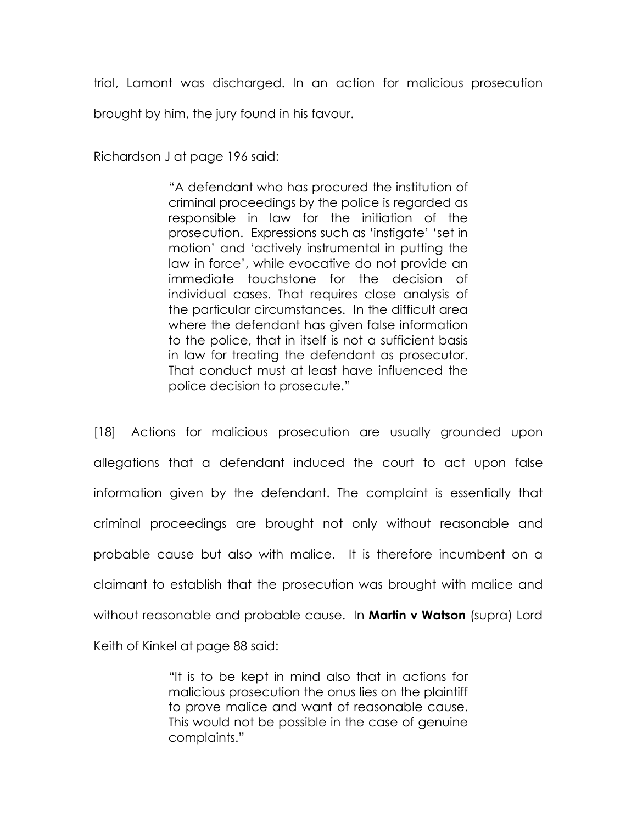trial, Lamont was discharged. In an action for malicious prosecution brought by him, the jury found in his favour.

Richardson J at page 196 said:

"A defendant who has procured the institution of criminal proceedings by the police is regarded as responsible in law for the initiation of the prosecution. Expressions such as 'instigate' 'set in motion' and 'actively instrumental in putting the law in force', while evocative do not provide an immediate touchstone for the decision of individual cases. That requires close analysis of the particular circumstances. In the difficult area where the defendant has given false information to the police, that in itself is not a sufficient basis in law for treating the defendant as prosecutor. That conduct must at least have influenced the police decision to prosecute."

[18] Actions for malicious prosecution are usually grounded upon allegations that a defendant induced the court to act upon false information given by the defendant. The complaint is essentially that criminal proceedings are brought not only without reasonable and probable cause but also with malice. It is therefore incumbent on a claimant to establish that the prosecution was brought with malice and without reasonable and probable cause. In **Martin v Watson** (supra) Lord Keith of Kinkel at page 88 said:

> "It is to be kept in mind also that in actions for malicious prosecution the onus lies on the plaintiff to prove malice and want of reasonable cause. This would not be possible in the case of genuine complaints."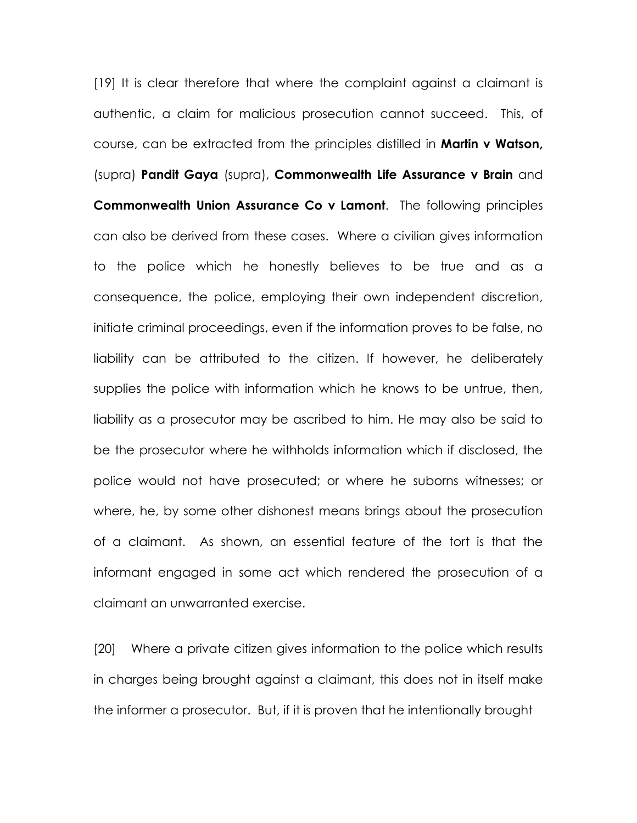[19] It is clear therefore that where the complaint against a claimant is authentic, a claim for malicious prosecution cannot succeed. This, of course, can be extracted from the principles distilled in **Martin v Watson**, (supra) Pandit Gaya (supra), Commonwealth Life Assurance v Brain and Commonwealth Union Assurance Co v Lamont. The following principles can also be derived from these cases. Where a civilian gives information to the police which he honestly believes to be true and as a consequence, the police, employing their own independent discretion, initiate criminal proceedings, even if the information proves to be false, no liability can be attributed to the citizen. If however, he deliberately supplies the police with information which he knows to be untrue, then, liability as a prosecutor may be ascribed to him. He may also be said to be the prosecutor where he withholds information which if disclosed, the police would not have prosecuted; or where he suborns witnesses; or where, he, by some other dishonest means brings about the prosecution of a claimant. As shown, an essential feature of the tort is that the informant engaged in some act which rendered the prosecution of a claimant an unwarranted exercise.

[20] Where a private citizen gives information to the police which results in charges being brought against a claimant, this does not in itself make the informer a prosecutor. But, if it is proven that he intentionally brought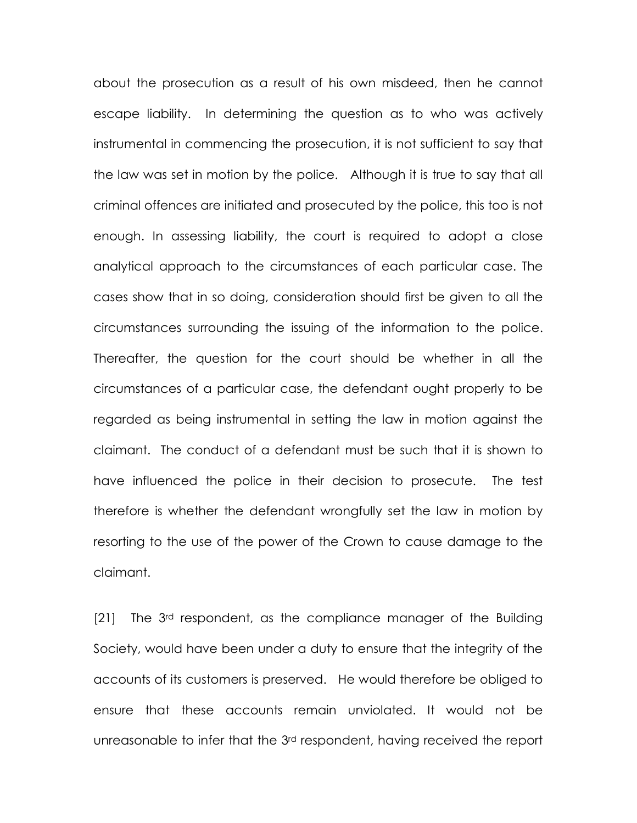about the prosecution as a result of his own misdeed, then he cannot escape liability. In determining the question as to who was actively instrumental in commencing the prosecution, it is not sufficient to say that the law was set in motion by the police. Although it is true to say that all criminal offences are initiated and prosecuted by the police, this too is not enough. In assessing liability, the court is required to adopt a close analytical approach to the circumstances of each particular case. The cases show that in so doing, consideration should first be given to all the circumstances surrounding the issuing of the information to the police. Thereafter, the question for the court should be whether in all the circumstances of a particular case, the defendant ought properly to be regarded as being instrumental in setting the law in motion against the claimant. The conduct of a defendant must be such that it is shown to have influenced the police in their decision to prosecute. The test therefore is whether the defendant wrongfully set the law in motion by resorting to the use of the power of the Crown to cause damage to the claimant.

[21] The 3<sup>rd</sup> respondent, as the compliance manager of the Building Society, would have been under a duty to ensure that the integrity of the accounts of its customers is preserved. He would therefore be obliged to ensure that these accounts remain unviolated. It would not be unreasonable to infer that the 3rd respondent, having received the report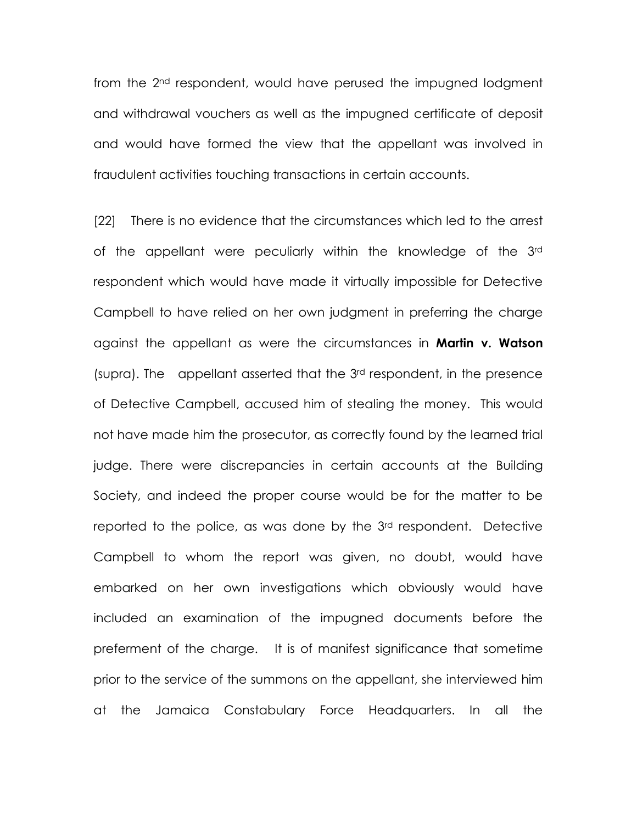from the 2nd respondent, would have perused the impugned lodgment and withdrawal vouchers as well as the impugned certificate of deposit and would have formed the view that the appellant was involved in fraudulent activities touching transactions in certain accounts.

[22] There is no evidence that the circumstances which led to the arrest of the appellant were peculiarly within the knowledge of the 3rd respondent which would have made it virtually impossible for Detective Campbell to have relied on her own judgment in preferring the charge against the appellant as were the circumstances in **Martin v. Watson** (supra). The appellant asserted that the 3rd respondent, in the presence of Detective Campbell, accused him of stealing the money. This would not have made him the prosecutor, as correctly found by the learned trial judge. There were discrepancies in certain accounts at the Building Society, and indeed the proper course would be for the matter to be reported to the police, as was done by the 3<sup>rd</sup> respondent. Detective Campbell to whom the report was given, no doubt, would have embarked on her own investigations which obviously would have included an examination of the impugned documents before the preferment of the charge. It is of manifest significance that sometime prior to the service of the summons on the appellant, she interviewed him at the Jamaica Constabulary Force Headquarters. In all the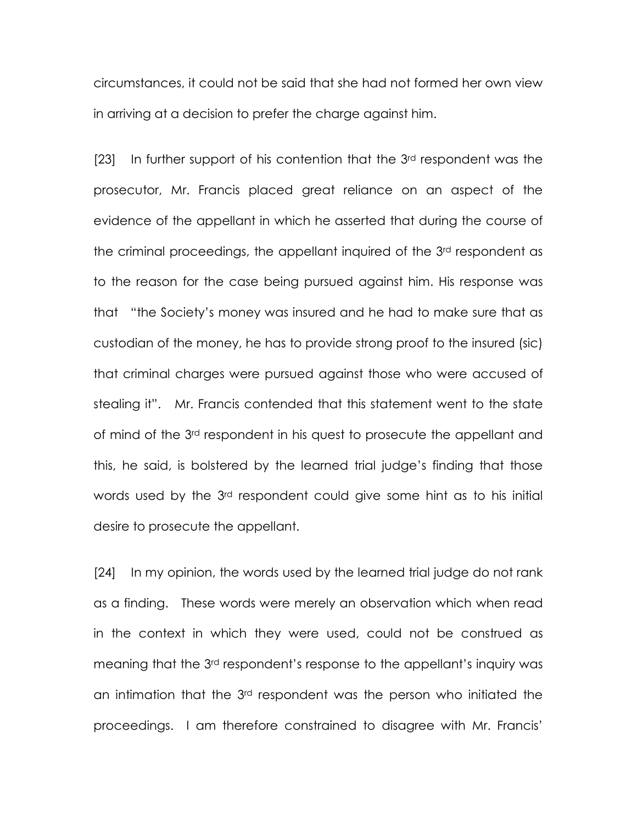circumstances, it could not be said that she had not formed her own view in arriving at a decision to prefer the charge against him.

[23] In further support of his contention that the 3<sup>rd</sup> respondent was the prosecutor, Mr. Francis placed great reliance on an aspect of the evidence of the appellant in which he asserted that during the course of the criminal proceedings, the appellant inquired of the 3rd respondent as to the reason for the case being pursued against him. His response was that "the Society's money was insured and he had to make sure that as custodian of the money, he has to provide strong proof to the insured (sic) that criminal charges were pursued against those who were accused of stealing it". Mr. Francis contended that this statement went to the state of mind of the 3rd respondent in his quest to prosecute the appellant and this, he said, is bolstered by the learned trial judge's finding that those words used by the 3rd respondent could give some hint as to his initial desire to prosecute the appellant.

[24] In my opinion, the words used by the learned trial judge do not rank as a finding. These words were merely an observation which when read in the context in which they were used, could not be construed as meaning that the 3rd respondent's response to the appellant's inquiry was an intimation that the 3rd respondent was the person who initiated the proceedings. I am therefore constrained to disagree with Mr. Francis'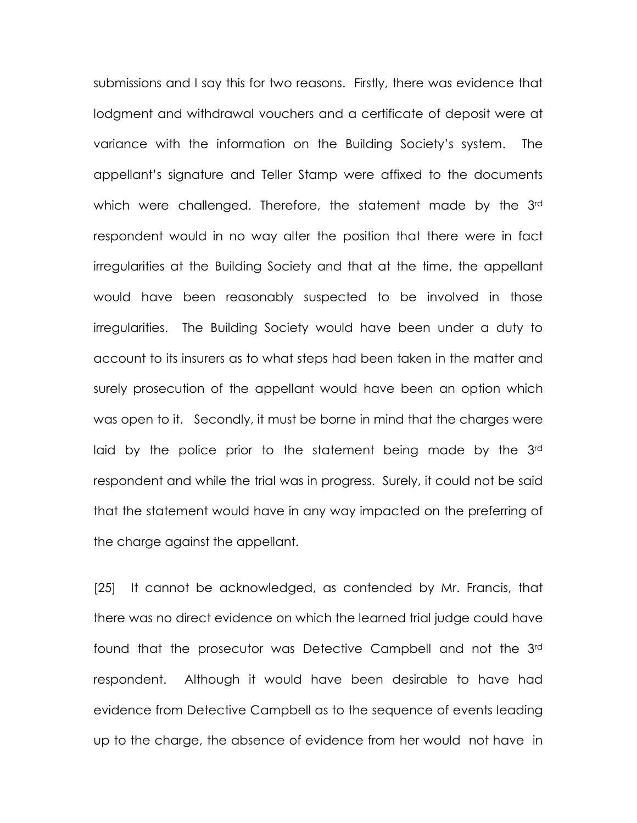submissions and I say this for two reasons. Firstly, there was evidence that lodgment and withdrawal vouchers and a certificate of deposit were at variance with the information on the Building Society's system. The appellant's signature and Teller Stamp were affixed to the documents which were challenged. Therefore, the statement made by the 3rd respondent would in no way alter the position that there were in fact irregularities at the Building Society and that at the time, the appellant would have been reasonably suspected to be involved in those irregularities. The Building Society would have been under a duty to account to its insurers as to what steps had been taken in the matter and surely prosecution of the appellant would have been an option which was open to it. Secondly, it must be borne in mind that the charges were laid by the police prior to the statement being made by the 3<sup>rd</sup> respondent and while the trial was in progress. Surely, it could not be said that the statement would have in any way impacted on the preferring of the charge against the appellant.

[25] It cannot be acknowledged, as contended by Mr. Francis, that there was no direct evidence on which the learned trial judge could have found that the prosecutor was Detective Campbell and not the 3rd respondent. Although it would have been desirable to have had evidence from Detective Campbell as to the sequence of events leading up to the charge, the absence of evidence from her would not have in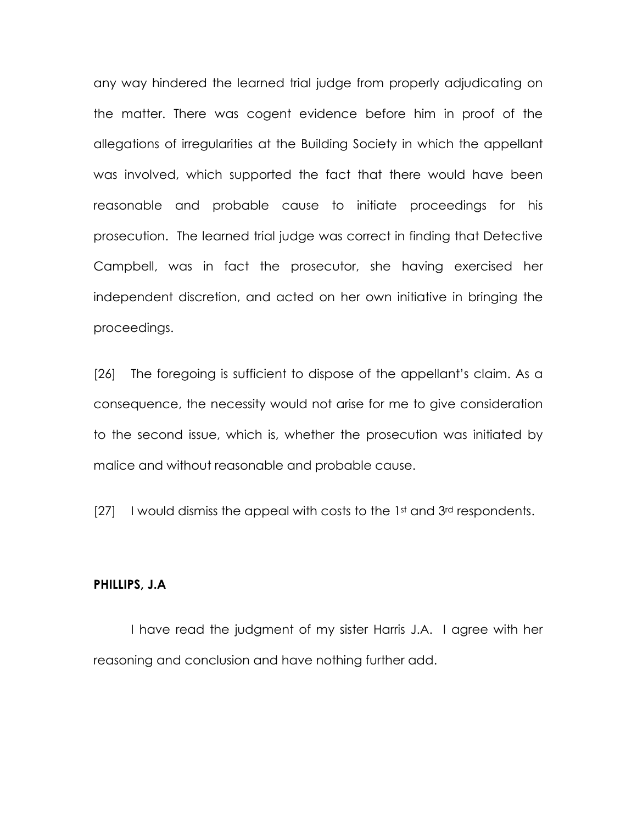any way hindered the learned trial judge from properly adjudicating on the matter. There was cogent evidence before him in proof of the allegations of irregularities at the Building Society in which the appellant was involved, which supported the fact that there would have been reasonable and probable cause to initiate proceedings for his prosecution. The learned trial judge was correct in finding that Detective Campbell, was in fact the prosecutor, she having exercised her independent discretion, and acted on her own initiative in bringing the proceedings.

[26] The foregoing is sufficient to dispose of the appellant's claim. As a consequence, the necessity would not arise for me to give consideration to the second issue, which is, whether the prosecution was initiated by malice and without reasonable and probable cause.

 $[27]$  I would dismiss the appeal with costs to the 1st and 3rd respondents.

#### PHILLIPS, J.A

I have read the judgment of my sister Harris J.A. I agree with her reasoning and conclusion and have nothing further add.